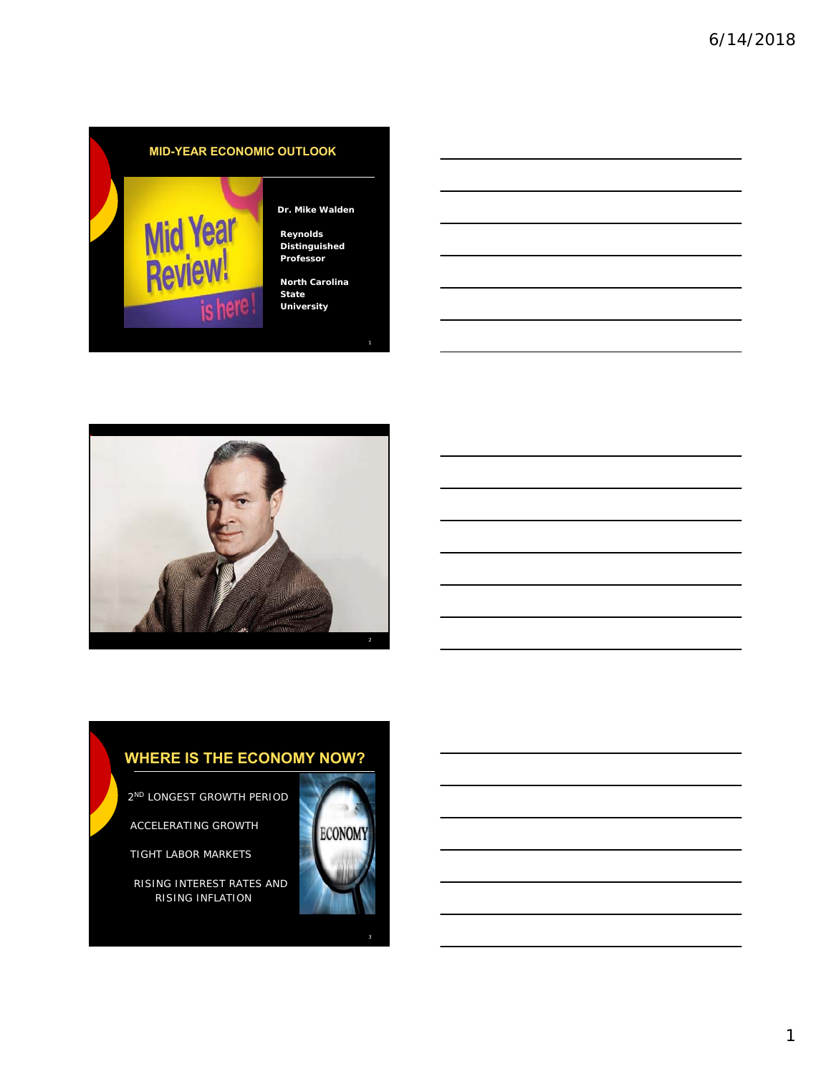## **MID-YEAR ECONOMIC OUTLOOK**



#### **Dr. Mike Walden**

**Reynolds Distinguished Professor**

**North Carolina State University**

1



## **WHERE IS THE ECONOMY NOW?**

2ND LONGEST GROWTH PERIOD

ACCELERATING GROWTH

TIGHT LABOR MARKETS

RISING INTEREST RATES AND RISING INFLATION

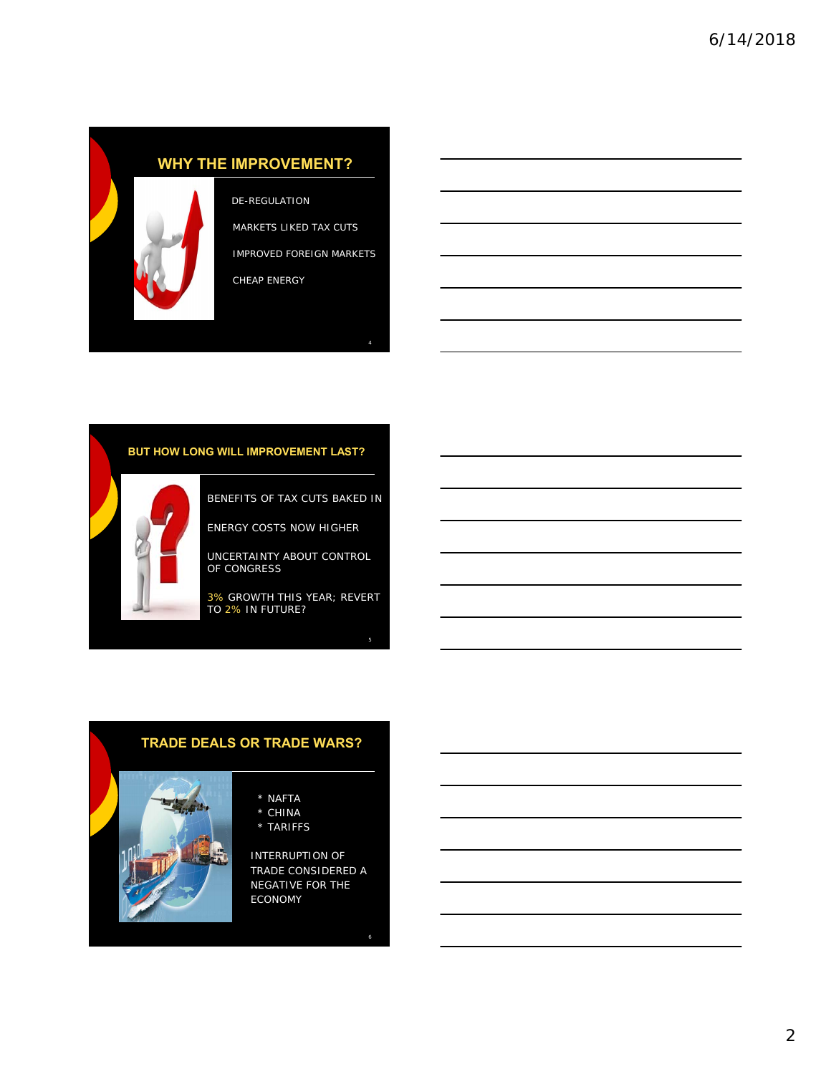# **WHY THE IMPROVEMENT?**



DE-REGULATION MARKETS LIKED TAX CUTS

IMPROVED FOREIGN MARKETS

4

CHEAP ENERGY

#### **BUT HOW LONG WILL IMPROVEMENT LAST?**



BENEFITS OF TAX CUTS BAKED IN

ENERGY COSTS NOW HIGHER

UNCERTAINTY ABOUT CONTROL OF CONGRESS

3% GROWTH THIS YEAR; REVERT TO 2% IN FUTURE?

# **TRADE DEALS OR TRADE WARS?**

- \* NAFTA
- \* CHINA
- \* TARIFFS

INTERRUPTION OF TRADE CONSIDERED A NEGATIVE FOR THE ECONOMY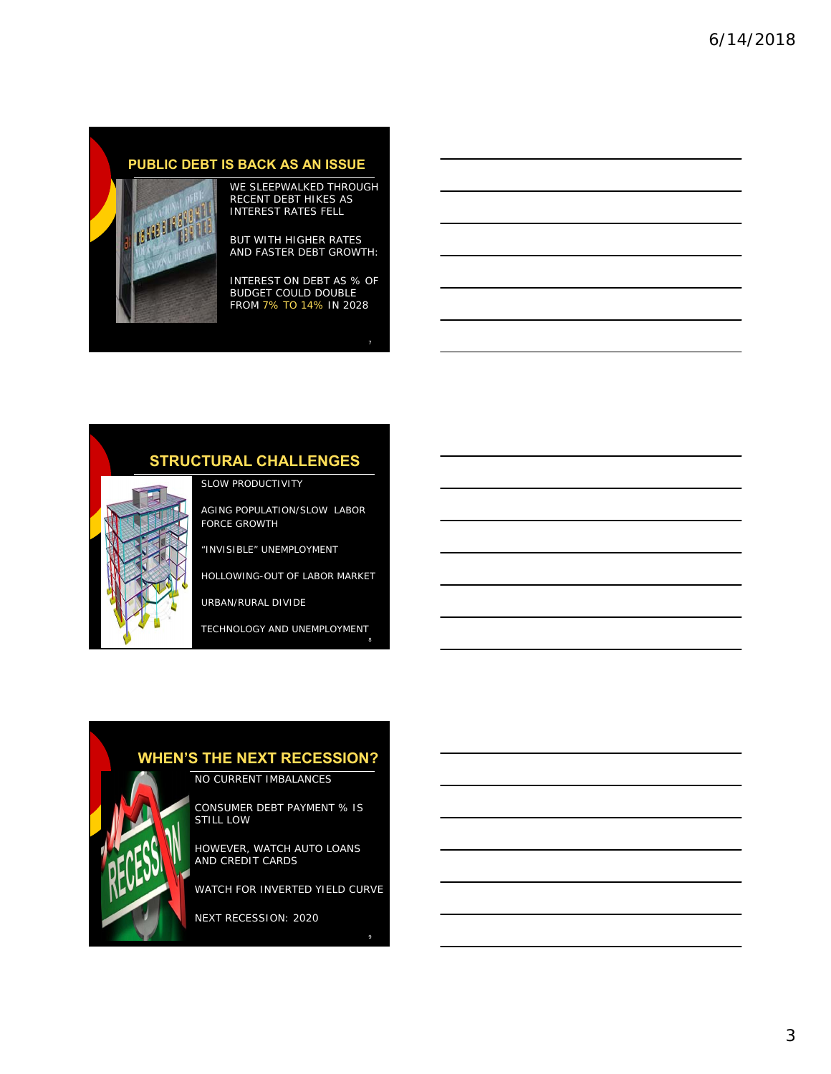## **PUBLIC DEBT IS BACK AS AN ISSUE**



#### WE SLEEPWALKED THROUGH RECENT DEBT HIKES AS INTEREST RATES FELL

BUT WITH HIGHER RATES AND FASTER DEBT GROWTH:

INTEREST ON DEBT AS % OF BUDGET COULD DOUBLE FROM 7% TO 14% IN 2028

7

# **STRUCTURAL CHALLENGES**

SLOW PRODUCTIVITY

AGING POPULATION/SLOW LABOR FORCE GROWTH

"INVISIBLE" UNEMPLOYMENT

HOLLOWING-OUT OF LABOR MARKET

URBAN/RURAL DIVIDE

TECHNOLOGY AND UNEMPLOYMENT

## **WHEN'S THE NEXT RECESSION?**

NO CURRENT IMBALANCES

CONSUMER DEBT PAYMENT % IS STILL LOW

HOWEVER, WATCH AUTO LOANS AND CREDIT CARDS

WATCH FOR INVERTED YIELD CURVE

9

NEXT RECESSION: 2020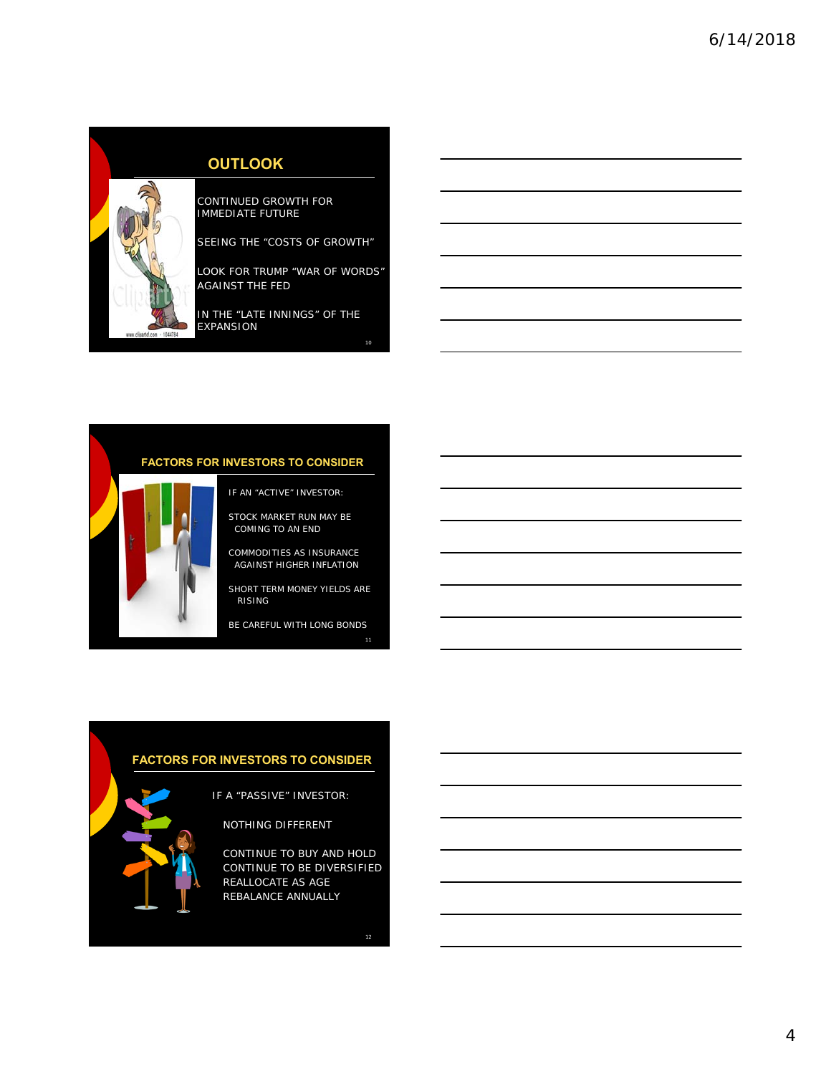

## **OUTLOOK**

CONTINUED GROWTH FOR IMMEDIATE FUTURE

SEEING THE "COSTS OF GROWTH"

LOOK FOR TRUMP "WAR OF WORDS" AGAINST THE FED

IN THE "LATE INNINGS" OF THE EXPANSION

## **FACTORS FOR INVESTORS TO CONSIDER**

- IF AN "ACTIVE" INVESTOR:
- STOCK MARKET RUN MAY BE COMING TO AN END

COMMODITIES AS INSURANCE AGAINST HIGHER INFLATION

SHORT TERM MONEY YIELDS ARE RISING

BE CAREFUL WITH LONG BONDS

## **FACTORS FOR INVESTORS TO CONSIDER**

IF A "PASSIVE" INVESTOR:

NOTHING DIFFERENT

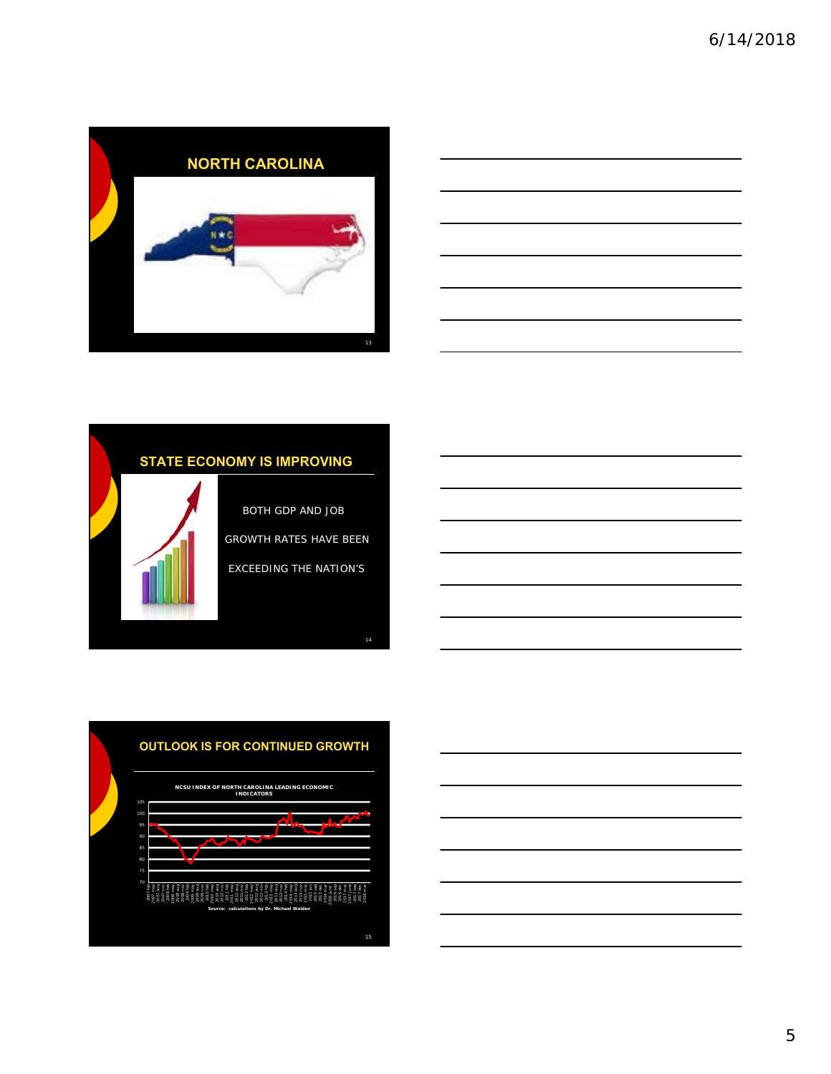







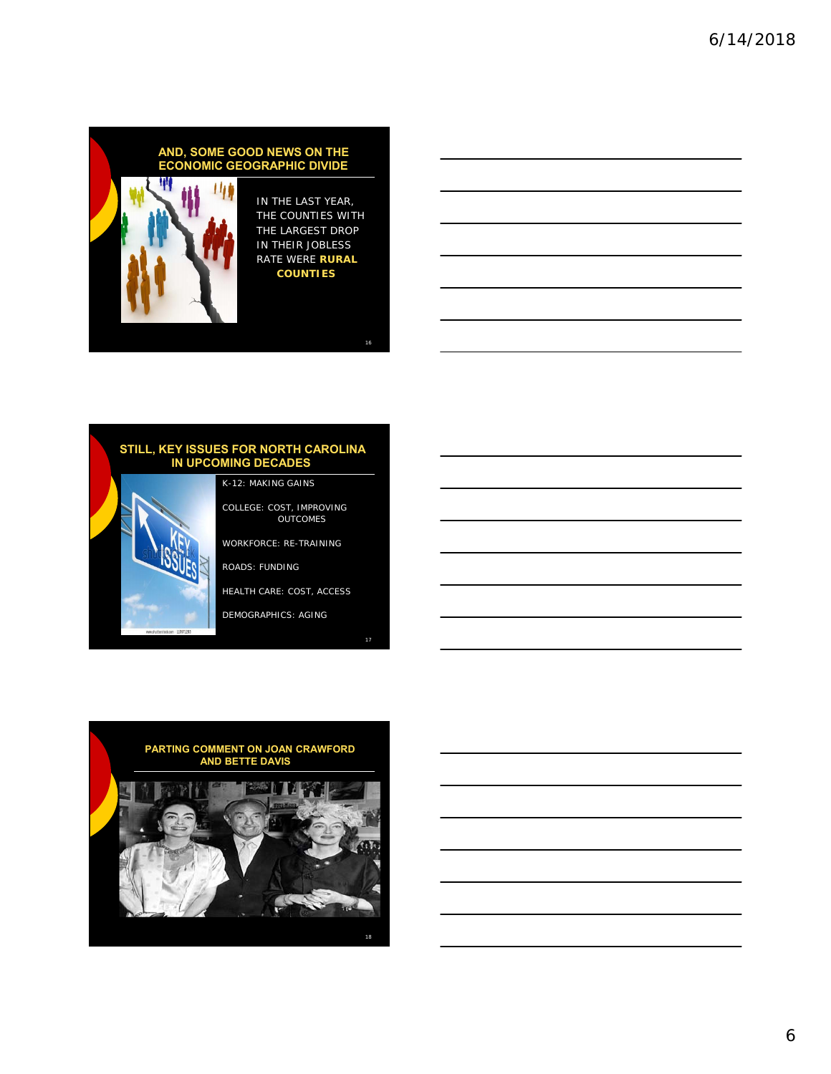# W Ш

#### IN THE LAST YEAR, THE COUNTIES WITH THE LARGEST DROP IN THEIR JOBLESS RATE WERE **RURAL COUNTIES**

**AND, SOME GOOD NEWS ON THE ECONOMIC GEOGRAPHIC DIVIDE**

#### **STILL, KEY ISSUES FOR NORTH CAROLINA IN UPCOMING DECADES**

COLLEGE: COST, IMPROVING OUTCOMES WORKFORCE: RE-TRAINING

ROADS: FUNDING

K-12: MAKING GAINS

HEALTH CARE: COST, ACCESS

DEMOGRAPHICS: AGING